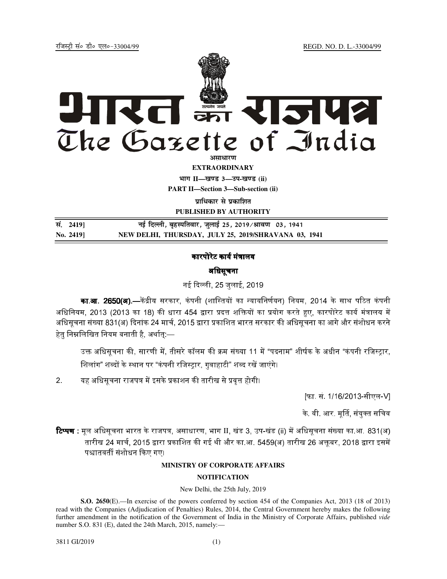REGD. NO. D. L.-33004/99

रजिस्टी सं० डी० एल०-33004/99



**EXTRAORDINARY** 

भाग II-खण्ड 3-उप-खण्ड (ii)

**PART II-Section 3-Sub-section (ii)** 

पाधिकार से पकाशित

PUBLISHED BY AUTHORITY

सं. 24191 नई दिल्ली, बृहस्पतिवार, जुलाई 25, 2019/श्रावण 03, 1941 NEW DELHI, THURSDAY, JULY 25, 2019/SHRAVANA 03, 1941 No. 24191

## कारपोरेट कार्य मंत्रालय

## अधिसूचना

# नई दिल्ली, 25 जुलाई, 2019

**का.आ. 2650(अ).—**केंद्रीय सरकार, कंपनी (शास्तियों का न्यायनिर्णयन) नियम, 2014 के साथ पठित कंपनी अधिनियम, 2013 (2013 का 18) की धारा 454 द्वारा प्रदत्त शक्तियों का प्रयोग करते हुए, कारपोरेट कार्य मंत्रालय में अधिसूचना संख्या 831(अ) दिनांक 24 मार्च, 2015 द्वारा प्रकाशित भारत सरकार की अधिसूचना का आगे और संशोधन करने हेत निम्नलिखित नियम बनाती है. अर्थात:—

उक्त अधिसूचना की, सारणी में, तीसरे कॉलम की क्रम संख्या 11 में "पदनाम" शीर्षक के अधीन "कंपनी रजिस्ट्रार, शिलांग" शब्दों के स्थान पर "कंपनी रजिस्ट्रार, गुवाहाटी" शब्द रखें जाएंगे।

यह अधिसूचना राजपत्र में इसके प्रकाशन की तारीख से प्रवृत्त होगी।  $2.$ 

|फा. सं. 1/16/2013-सीएल-VI

के वी आर मूर्ति, संयुक्त सचिव

**टिप्पण :** मूल अधिसूचना भारत के राजपत्र, असाधारण, भाग II, खंड 3, उप-खंड (ii) में अधिसूचना संख्या का आ. 831(अ) तारीख 24 मार्च, 2015 द्वारा प्रकाशित की गई थी और का आ. 5459(अ) तारीख 26 अक्तूबर, 2018 द्वारा इसमें पश्चातवर्ती संशोधन किए गए।

### **MINISTRY OF CORPORATE AFFAIRS**

#### **NOTIFICATION**

#### New Delhi, the 25th July, 2019

**S.O. 2650**(E).—In exercise of the powers conferred by section 454 of the Companies Act, 2013 (18 of 2013) read with the Companies (Adjudication of Penalties) Rules, 2014, the Central Government hereby makes the following further amendment in the notification of the Government of India in the Ministry of Corporate Affairs, published vide number S.O. 831 (E), dated the 24th March, 2015, namely:—